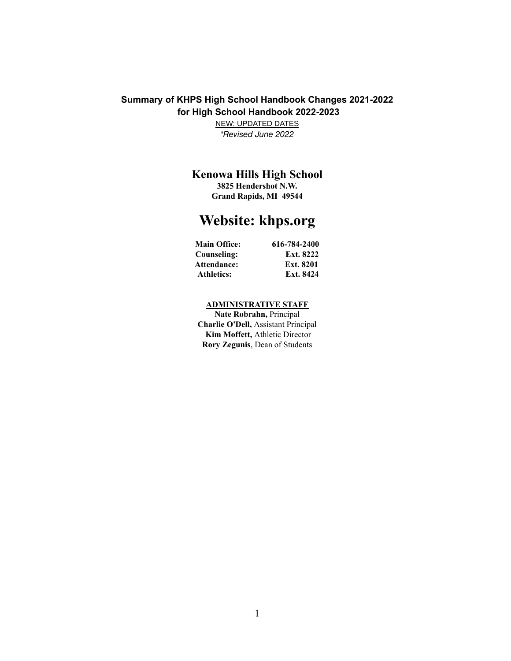# **Summary of KHPS High School Handbook Changes 2021-2022 for High School Handbook 2022-2023**

NEW: UPDATED DATES *\*Revised June 2022*

# **Kenowa Hills High School**

**3825 Hendershot N.W. Grand Rapids, MI 49544**

# **Website: khps.org**

| <b>Main Office:</b> | 616-784-2400 |
|---------------------|--------------|
| Counseling:         | Ext. 8222    |
| <b>Attendance:</b>  | Ext. 8201    |
| <b>Athletics:</b>   | Ext. 8424    |

# **ADMINISTRATIVE STAFF**

**Nate Robrahn,** Principal **Charlie O'Dell,** Assistant Principal **Kim Moffett,** Athletic Director **Rory Zegunis**, Dean of Students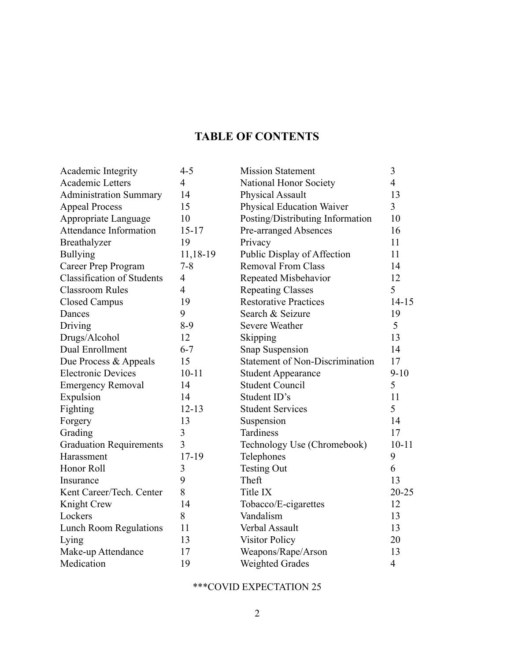# **TABLE OF CONTENTS**

| Academic Integrity                | $4 - 5$        | <b>Mission Statement</b>                           | $\mathfrak{Z}$           |
|-----------------------------------|----------------|----------------------------------------------------|--------------------------|
| Academic Letters                  | $\overline{4}$ | National Honor Society                             | $\overline{4}$           |
| <b>Administration Summary</b>     | 14             | 13<br><b>Physical Assault</b>                      |                          |
| <b>Appeal Process</b>             | 15             | $\overline{3}$<br><b>Physical Education Waiver</b> |                          |
| Appropriate Language              | 10             | 10<br>Posting/Distributing Information             |                          |
| <b>Attendance Information</b>     | $15 - 17$      | <b>Pre-arranged Absences</b><br>16                 |                          |
| Breathalyzer                      | 19             | Privacy<br>11                                      |                          |
| <b>Bullying</b>                   | 11,18-19       | Public Display of Affection                        | 11                       |
| Career Prep Program               | $7 - 8$        | <b>Removal From Class</b><br>14                    |                          |
| <b>Classification of Students</b> | $\overline{4}$ | Repeated Misbehavior<br>12                         |                          |
| <b>Classroom Rules</b>            | $\overline{4}$ | 5<br><b>Repeating Classes</b>                      |                          |
| <b>Closed Campus</b>              | 19             | <b>Restorative Practices</b>                       | $14 - 15$                |
| Dances                            | 9              | Search & Seizure                                   | 19                       |
| Driving                           | $8-9$          | <b>Severe Weather</b>                              | 5                        |
| Drugs/Alcohol                     | 12             | Skipping                                           | 13                       |
| Dual Enrollment                   | $6 - 7$        | Snap Suspension                                    | 14                       |
| Due Process & Appeals             | 15             | <b>Statement of Non-Discrimination</b>             | 17                       |
| <b>Electronic Devices</b>         | $10 - 11$      | <b>Student Appearance</b>                          | $9 - 10$                 |
| <b>Emergency Removal</b>          | 14             | <b>Student Council</b>                             | 5                        |
| Expulsion                         | 14             | Student ID's                                       | 11                       |
| Fighting                          | $12 - 13$      | <b>Student Services</b>                            | 5                        |
| Forgery                           | 13             | Suspension                                         | 14                       |
| Grading                           | 3              | Tardiness                                          | 17                       |
| <b>Graduation Requirements</b>    | $\overline{3}$ | Technology Use (Chromebook)                        | $10 - 11$                |
| Harassment                        | 17-19          | Telephones                                         | 9                        |
| Honor Roll                        | 3              | <b>Testing Out</b>                                 | 6                        |
| Insurance                         | 9              | Theft                                              | 13                       |
| Kent Career/Tech. Center          | 8              | Title IX                                           | 20-25                    |
| Knight Crew                       | 14             | Tobacco/E-cigarettes                               | 12                       |
| Lockers                           | 8              | Vandalism                                          | 13                       |
| <b>Lunch Room Regulations</b>     | 11             | Verbal Assault                                     | 13                       |
| Lying                             | 13             | <b>Visitor Policy</b>                              | 20                       |
| Make-up Attendance                | 17             | Weapons/Rape/Arson                                 | 13                       |
| Medication                        | 19             | <b>Weighted Grades</b>                             | $\overline{\mathcal{L}}$ |

# \*\*\*COVID EXPECTATION 25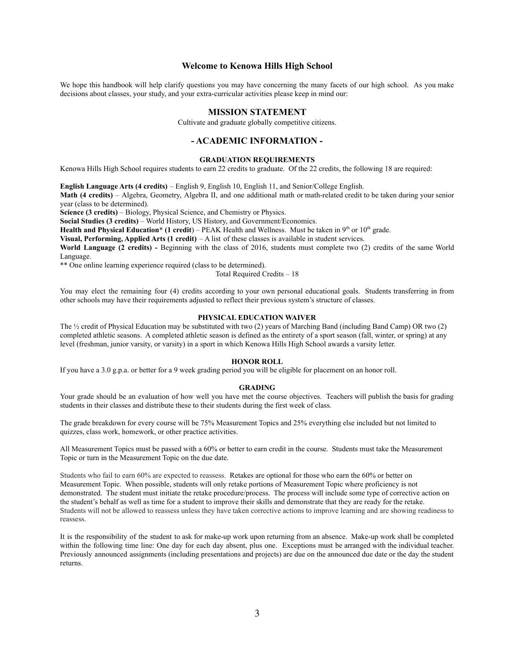# **Welcome to Kenowa Hills High School**

We hope this handbook will help clarify questions you may have concerning the many facets of our high school. As you make decisions about classes, your study, and your extra-curricular activities please keep in mind our:

### **MISSION STATEMENT**

Cultivate and graduate globally competitive citizens.

# **- ACADEMIC INFORMATION -**

#### **GRADUATION REQUIREMENTS**

Kenowa Hills High School requires students to earn 22 credits to graduate. Of the 22 credits, the following 18 are required:

**English Language Arts (4 credits)** – English 9, English 10, English 11, and Senior/College English.

**Math (4 credits)** – Algebra, Geometry, Algebra II, and one additional math or math-related credit to be taken during your senior year (class to be determined).

**Science (3 credits)** – Biology, Physical Science, and Chemistry or Physics.

**Social Studies (3 credits)** – World History, US History, and Government/Economics.

**Health and Physical Education\* (1 credit**) – PEAK Health and Wellness. Must be taken in 9<sup>th</sup> or 10<sup>th</sup> grade.

**Visual, Performing, Applied Arts (1 credit)** – A list of these classes is available in student services.

**World Language (2 credits) -** Beginning with the class of 2016, students must complete two (2) credits of the same World Language.

\*\* One online learning experience required (class to be determined).

Total Required Credits – 18

You may elect the remaining four (4) credits according to your own personal educational goals. Students transferring in from other schools may have their requirements adjusted to reflect their previous system's structure of classes.

# **PHYSICAL EDUCATION WAIVER**

The ½ credit of Physical Education may be substituted with two (2) years of Marching Band (including Band Camp) OR two (2) completed athletic seasons. A completed athletic season is defined as the entirety of a sport season (fall, winter, or spring) at any level (freshman, junior varsity, or varsity) in a sport in which Kenowa Hills High School awards a varsity letter.

#### **HONOR ROLL**

If you have a 3.0 g.p.a. or better for a 9 week grading period you will be eligible for placement on an honor roll.

#### **GRADING**

Your grade should be an evaluation of how well you have met the course objectives. Teachers will publish the basis for grading students in their classes and distribute these to their students during the first week of class.

The grade breakdown for every course will be 75% Measurement Topics and 25% everything else included but not limited to quizzes, class work, homework, or other practice activities.

All Measurement Topics must be passed with a 60% or better to earn credit in the course. Students must take the Measurement Topic or turn in the Measurement Topic on the due date.

Students who fail to earn 60% are expected to reassess. Retakes are optional for those who earn the 60% or better on Measurement Topic. When possible, students will only retake portions of Measurement Topic where proficiency is not demonstrated. The student must initiate the retake procedure/process. The process will include some type of corrective action on the student's behalf as well as time for a student to improve their skills and demonstrate that they are ready for the retake. Students will not be allowed to reassess unless they have taken corrective actions to improve learning and are showing readiness to reassess.

It is the responsibility of the student to ask for make-up work upon returning from an absence. Make-up work shall be completed within the following time line: One day for each day absent, plus one. Exceptions must be arranged with the individual teacher. Previously announced assignments (including presentations and projects) are due on the announced due date or the day the student returns.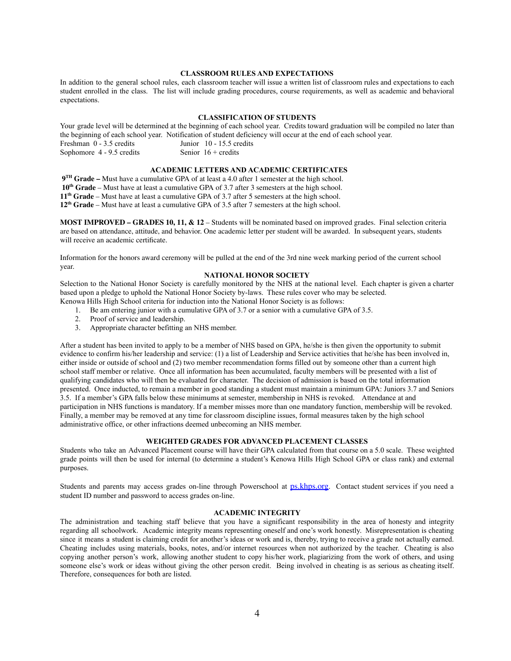# **CLASSROOM RULES AND EXPECTATIONS**

In addition to the general school rules, each classroom teacher will issue a written list of classroom rules and expectations to each student enrolled in the class. The list will include grading procedures, course requirements, as well as academic and behavioral expectations.

# **CLASSIFICATION OF STUDENTS**

Your grade level will be determined at the beginning of each school year. Credits toward graduation will be compiled no later than the beginning of each school year. Notification of student deficiency will occur at the end of each school year. Freshman 0 - 3.5 credits Junior 10 - 15.5 credits Sophomore  $4 - 9.5$  credits Senior  $16 +$  credits

# **ACADEMIC LETTERS AND ACADEMIC CERTIFICATES**

 **TH Grade –** Must have a cumulative GPA of at least a 4.0 after 1 semester at the high school. **th Grade** – Must have at least a cumulative GPA of 3.7 after 3 semesters at the high school. **th Grade** – Must have at least a cumulative GPA of 3.7 after 5 semesters at the high school. **th Grade** – Must have at least a cumulative GPA of 3.5 after 7 semesters at the high school.

**MOST IMPROVED – GRADES 10, 11, & 12** – Students will be nominated based on improved grades. Final selection criteria are based on attendance, attitude, and behavior. One academic letter per student will be awarded. In subsequent years, students will receive an academic certificate.

Information for the honors award ceremony will be pulled at the end of the 3rd nine week marking period of the current school year.

# **NATIONAL HONOR SOCIETY**

Selection to the National Honor Society is carefully monitored by the NHS at the national level. Each chapter is given a charter based upon a pledge to uphold the National Honor Society by-laws. These rules cover who may be selected. Kenowa Hills High School criteria for induction into the National Honor Society is as follows:

- 1. Be am entering junior with a cumulative GPA of 3.7 or a senior with a cumulative GPA of 3.5.
- 2. Proof of service and leadership.
- 3. Appropriate character befitting an NHS member.

After a student has been invited to apply to be a member of NHS based on GPA, he/she is then given the opportunity to submit evidence to confirm his/her leadership and service: (1) a list of Leadership and Service activities that he/she has been involved in, either inside or outside of school and (2) two member recommendation forms filled out by someone other than a current high school staff member or relative. Once all information has been accumulated, faculty members will be presented with a list of qualifying candidates who will then be evaluated for character. The decision of admission is based on the total information presented. Once inducted, to remain a member in good standing a student must maintain a minimum GPA: Juniors 3.7 and Seniors 3.5. If a member's GPA falls below these minimums at semester, membership in NHS is revoked. Attendance at and participation in NHS functions is mandatory. If a member misses more than one mandatory function, membership will be revoked. Finally, a member may be removed at any time for classroom discipline issues, formal measures taken by the high school administrative office, or other infractions deemed unbecoming an NHS member.

#### **WEIGHTED GRADES FOR ADVANCED PLACEMENT CLASSES**

Students who take an Advanced Placement course will have their GPA calculated from that course on a 5.0 scale. These weighted grade points will then be used for internal (to determine a student's Kenowa Hills High School GPA or class rank) and external purposes.

Students and parents may access grades on-line through Powerschool at [ps.khps.org](http://www.ps.khps.org). Contact student services if you need a student ID number and password to access grades on-line.

# **ACADEMIC INTEGRITY**

The administration and teaching staff believe that you have a significant responsibility in the area of honesty and integrity regarding all schoolwork. Academic integrity means representing oneself and one's work honestly. Misrepresentation is cheating since it means a student is claiming credit for another's ideas or work and is, thereby, trying to receive a grade not actually earned. Cheating includes using materials, books, notes, and/or internet resources when not authorized by the teacher. Cheating is also copying another person's work, allowing another student to copy his/her work, plagiarizing from the work of others, and using someone else's work or ideas without giving the other person credit. Being involved in cheating is as serious as cheating itself. Therefore, consequences for both are listed.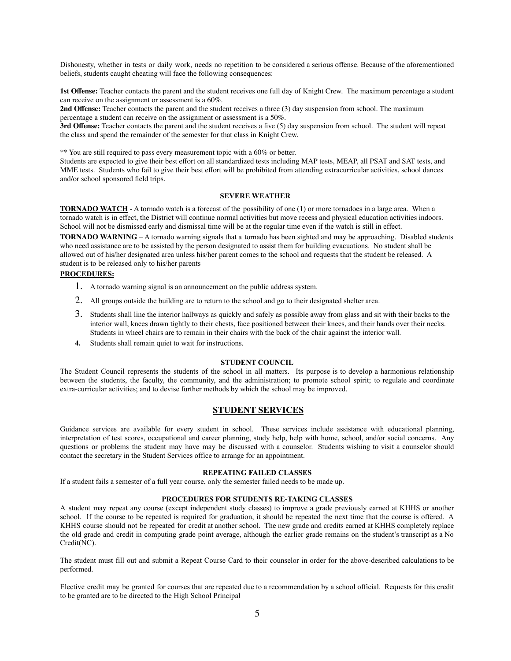Dishonesty, whether in tests or daily work, needs no repetition to be considered a serious offense. Because of the aforementioned beliefs, students caught cheating will face the following consequences:

**1st Offense:** Teacher contacts the parent and the student receives one full day of Knight Crew. The maximum percentage a student can receive on the assignment or assessment is a 60%.

**2nd Offense:** Teacher contacts the parent and the student receives a three (3) day suspension from school. The maximum percentage a student can receive on the assignment or assessment is a 50%.

**3rd Offense:** Teacher contacts the parent and the student receives a five (5) day suspension from school. The student will repeat the class and spend the remainder of the semester for that class in Knight Crew.

\*\* You are still required to pass every measurement topic with a 60% or better.

Students are expected to give their best effort on all standardized tests including MAP tests, MEAP, all PSAT and SAT tests, and MME tests. Students who fail to give their best effort will be prohibited from attending extracurricular activities, school dances and/or school sponsored field trips.

# **SEVERE WEATHER**

**TORNADO WATCH** - A tornado watch is a forecast of the possibility of one (1) or more tornadoes in a large area. When a tornado watch is in effect, the District will continue normal activities but move recess and physical education activities indoors. School will not be dismissed early and dismissal time will be at the regular time even if the watch is still in effect.

**TORNADO WARNING** – A tornado warning signals that a tornado has been sighted and may be approaching. Disabled students who need assistance are to be assisted by the person designated to assist them for building evacuations. No student shall be allowed out of his/her designated area unless his/her parent comes to the school and requests that the student be released. A student is to be released only to his/her parents

# **PROCEDURES:**

- 1. A tornado warning signal is an announcement on the public address system.
- 2. All groups outside the building are to return to the school and go to their designated shelter area.
- 3. Students shall line the interior hallways as quickly and safely as possible away from glass and sit with their backs to the interior wall, knees drawn tightly to their chests, face positioned between their knees, and their hands over their necks. Students in wheel chairs are to remain in their chairs with the back of the chair against the interior wall.
- **4.** Students shall remain quiet to wait for instructions.

#### **STUDENT COUNCIL**

The Student Council represents the students of the school in all matters. Its purpose is to develop a harmonious relationship between the students, the faculty, the community, and the administration; to promote school spirit; to regulate and coordinate extra-curricular activities; and to devise further methods by which the school may be improved.

# **STUDENT SERVICES**

Guidance services are available for every student in school. These services include assistance with educational planning, interpretation of test scores, occupational and career planning, study help, help with home, school, and/or social concerns. Any questions or problems the student may have may be discussed with a counselor. Students wishing to visit a counselor should contact the secretary in the Student Services office to arrange for an appointment.

# **REPEATING FAILED CLASSES**

If a student fails a semester of a full year course, only the semester failed needs to be made up.

### **PROCEDURES FOR STUDENTS RE-TAKING CLASSES**

A student may repeat any course (except independent study classes) to improve a grade previously earned at KHHS or another school. If the course to be repeated is required for graduation, it should be repeated the next time that the course is offered. A KHHS course should not be repeated for credit at another school. The new grade and credits earned at KHHS completely replace the old grade and credit in computing grade point average, although the earlier grade remains on the student's transcript as a No Credit(NC).

The student must fill out and submit a Repeat Course Card to their counselor in order for the above-described calculations to be performed.

Elective credit may be granted for courses that are repeated due to a recommendation by a school official. Requests for this credit to be granted are to be directed to the High School Principal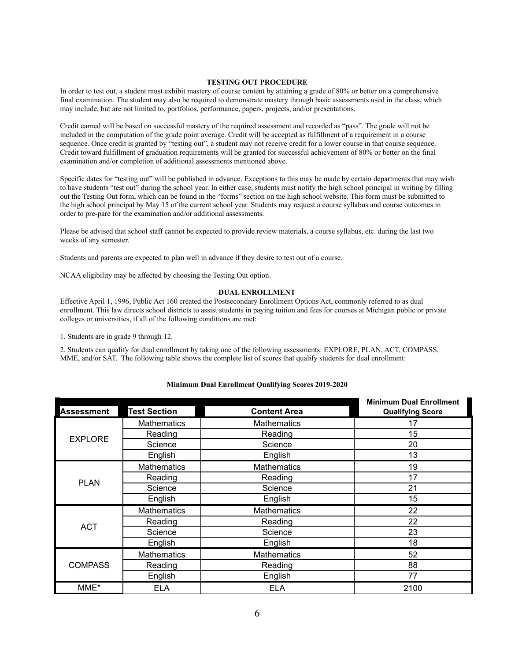# **TESTING OUT PROCEDURE**

In order to test out, a student must exhibit mastery of course content by attaining a grade of 80% or better on a comprehensive final examination. The student may also be required to demonstrate mastery through basic assessments used in the class, which may include, but are not limited to, portfolios, performance, papers, projects, and/or presentations.

Credit earned will be based on successful mastery of the required assessment and recorded as "pass". The grade will not be included in the computation of the grade point average. Credit will be accepted as fulfillment of a requirement in a course sequence. Once credit is granted by "testing out", a student may not receive credit for a lower course in that course sequence. Credit toward fulfillment of graduation requirements will be granted for successful achievement of 80% or better on the final examination and/or completion of additional assessments mentioned above.

Specific dates for "testing out" will be published in advance. Exceptions to this may be made by certain departments that may wish to have students "test out" during the school year. In either case, students must notify the high school principal in writing by filling out the Testing Out form, which can be found in the "forms" section on the high school website. This form must be submitted to the high school principal by May 15 of the current school year. Students may request a course syllabus and course outcomes in order to pre-pare for the examination and/or additional assessments.

Please be advised that school staff cannot be expected to provide review materials, a course syllabus, etc. during the last two weeks of any semester.

Students and parents are expected to plan well in advance if they desire to test out of a course.

NCAA eligibility may be affected by choosing the Testing Out option.

# **DUAL ENROLLMENT**

Effective April 1, 1996, Public Act 160 created the Postsecondary Enrollment Options Act, commonly referred to as dual enrollment. This law directs school districts to assist students in paying tuition and fees for courses at Michigan public or private colleges or universities, if all of the following conditions are met:

1. Students are in grade 9 through 12.

2. Students can qualify for dual enrollment by taking one of the following assessments: EXPLORE, PLAN, ACT, COMPASS, MME, and/or SAT. The following table shows the complete list of scores that qualify students for dual enrollment:

|                   |                     |                     | <b>Minimum Dual Enrollment</b> |
|-------------------|---------------------|---------------------|--------------------------------|
| <b>Assessment</b> | <b>Test Section</b> | <b>Content Area</b> | <b>Qualifying Score</b>        |
| <b>EXPLORE</b>    | <b>Mathematics</b>  | <b>Mathematics</b>  | 17                             |
|                   | Reading             | Reading             | 15                             |
|                   | Science             | Science             | 20                             |
|                   | English             | English             | 13                             |
| <b>PLAN</b>       | <b>Mathematics</b>  | <b>Mathematics</b>  | 19                             |
|                   | Reading             | Reading             | 17                             |
|                   | Science             | Science             | 21                             |
|                   | English             | English             | 15                             |
| <b>ACT</b>        | <b>Mathematics</b>  | <b>Mathematics</b>  | 22                             |
|                   | Reading             | Reading             | 22                             |
|                   | Science             | Science             | 23                             |
|                   | English             | English             | 18                             |
| <b>COMPASS</b>    | <b>Mathematics</b>  | <b>Mathematics</b>  | 52                             |
|                   | Reading             | Reading             | 88                             |
|                   | English             | English             | 77                             |
| MME*              | <b>ELA</b>          | <b>ELA</b>          | 2100                           |

#### **Minimum Dual Enrollment Qualifying Scores 2019-2020**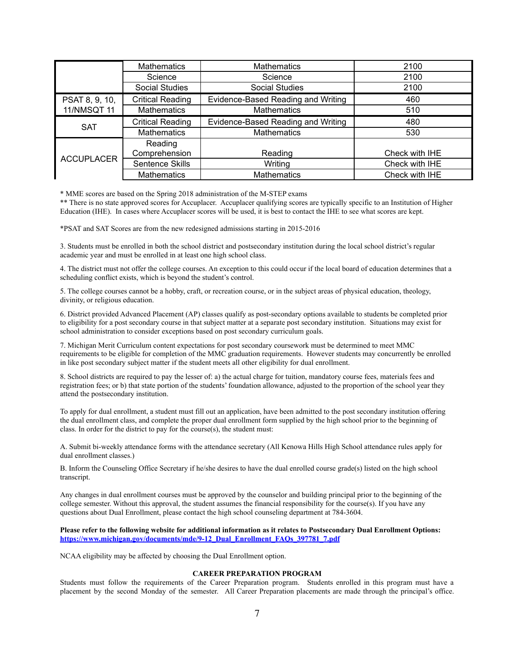|                    | <b>Mathematics</b>      | <b>Mathematics</b>                 | 2100           |
|--------------------|-------------------------|------------------------------------|----------------|
|                    | Science                 | Science                            | 2100           |
|                    | <b>Social Studies</b>   | <b>Social Studies</b>              | 2100           |
| PSAT 8, 9, 10,     | <b>Critical Reading</b> | Evidence-Based Reading and Writing | 460            |
| <b>11/NMSQT 11</b> | <b>Mathematics</b>      | <b>Mathematics</b>                 | 510            |
| <b>SAT</b>         | <b>Critical Reading</b> | Evidence-Based Reading and Writing | 480            |
|                    | <b>Mathematics</b>      | <b>Mathematics</b>                 | 530            |
|                    | Reading                 |                                    |                |
| <b>ACCUPLACER</b>  | Comprehension           | Reading                            | Check with IHE |
|                    | Sentence Skills         | Writing                            | Check with IHE |
|                    | <b>Mathematics</b>      | <b>Mathematics</b>                 | Check with IHE |

\* MME scores are based on the Spring 2018 administration of the M-STEP exams

\*\* There is no state approved scores for Accuplacer. Accuplacer qualifying scores are typically specific to an Institution of Higher Education (IHE). In cases where Accuplacer scores will be used, it is best to contact the IHE to see what scores are kept.

\*PSAT and SAT Scores are from the new redesigned admissions starting in 2015-2016

3. Students must be enrolled in both the school district and postsecondary institution during the local school district's regular academic year and must be enrolled in at least one high school class.

4. The district must not offer the college courses. An exception to this could occur if the local board of education determines that a scheduling conflict exists, which is beyond the student's control.

5. The college courses cannot be a hobby, craft, or recreation course, or in the subject areas of physical education, theology, divinity, or religious education.

6. District provided Advanced Placement (AP) classes qualify as post-secondary options available to students be completed prior to eligibility for a post secondary course in that subject matter at a separate post secondary institution. Situations may exist for school administration to consider exceptions based on post secondary curriculum goals.

7. Michigan Merit Curriculum content expectations for post secondary coursework must be determined to meet MMC requirements to be eligible for completion of the MMC graduation requirements. However students may concurrently be enrolled in like post secondary subject matter if the student meets all other eligibility for dual enrollment.

8. School districts are required to pay the lesser of: a) the actual charge for tuition, mandatory course fees, materials fees and registration fees; or b) that state portion of the students' foundation allowance, adjusted to the proportion of the school year they attend the postsecondary institution.

To apply for dual enrollment, a student must fill out an application, have been admitted to the post secondary institution offering the dual enrollment class, and complete the proper dual enrollment form supplied by the high school prior to the beginning of class. In order for the district to pay for the course(s), the student must:

A. Submit bi-weekly attendance forms with the attendance secretary (All Kenowa Hills High School attendance rules apply for dual enrollment classes.)

B. Inform the Counseling Office Secretary if he/she desires to have the dual enrolled course grade(s) listed on the high school transcript.

Any changes in dual enrollment courses must be approved by the counselor and building principal prior to the beginning of the college semester. Without this approval, the student assumes the financial responsibility for the course(s). If you have any questions about Dual Enrollment, please contact the high school counseling department at 784-3604.

**Please refer to the following website for additional information as it relates to Postsecondary Dual Enrollment Options: [https://www.michigan.gov/documents/mde/9-12\\_Dual\\_Enrollment\\_FAQs\\_397781\\_7.pdf](https://www.michigan.gov/documents/mde/9-12_Dual_Enrollment_FAQs_397781_7.pdf)**

NCAA eligibility may be affected by choosing the Dual Enrollment option.

# **CAREER PREPARATION PROGRAM**

Students must follow the requirements of the Career Preparation program. Students enrolled in this program must have a placement by the second Monday of the semester. All Career Preparation placements are made through the principal's office.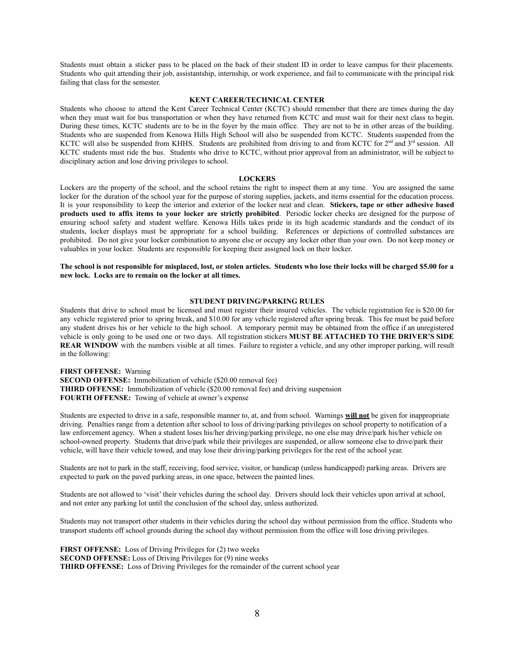Students must obtain a sticker pass to be placed on the back of their student ID in order to leave campus for their placements. Students who quit attending their job, assistantship, internship, or work experience, and fail to communicate with the principal risk failing that class for the semester.

#### **KENT CAREER/TECHNICAL CENTER**

Students who choose to attend the Kent Career Technical Center (KCTC) should remember that there are times during the day when they must wait for bus transportation or when they have returned from KCTC and must wait for their next class to begin. During these times, KCTC students are to be in the foyer by the main office. They are not to be in other areas of the building. Students who are suspended from Kenowa Hills High School will also be suspended from KCTC. Students suspended from the KCTC will also be suspended from KHHS. Students are prohibited from driving to and from KCTC for  $2<sup>nd</sup>$  and  $3<sup>rd</sup>$  session. All KCTC students must ride the bus. Students who drive to KCTC, without prior approval from an administrator, will be subject to disciplinary action and lose driving privileges to school.

### **LOCKERS**

Lockers are the property of the school, and the school retains the right to inspect them at any time. You are assigned the same locker for the duration of the school year for the purpose of storing supplies, jackets, and items essential for the education process. It is your responsibility to keep the interior and exterior of the locker neat and clean. **Stickers, tape or other adhesive based products used to affix items to your locker are strictly prohibited**. Periodic locker checks are designed for the purpose of ensuring school safety and student welfare. Kenowa Hills takes pride in its high academic standards and the conduct of its students, locker displays must be appropriate for a school building. References or depictions of controlled substances are prohibited. Do not give your locker combination to anyone else or occupy any locker other than your own. Do not keep money or valuables in your locker. Students are responsible for keeping their assigned lock on their locker.

The school is not responsible for misplaced, lost, or stolen articles. Students who lose their locks will be charged \$5.00 for a **new lock. Locks are to remain on the locker at all times.**

#### **STUDENT DRIVING/PARKING RULES**

Students that drive to school must be licensed and must register their insured vehicles. The vehicle registration fee is \$20.00 for any vehicle registered prior to spring break, and \$10.00 for any vehicle registered after spring break. This fee must be paid before any student drives his or her vehicle to the high school. A temporary permit may be obtained from the office if an unregistered vehicle is only going to be used one or two days. All registration stickers **MUST BE ATTACHED TO THE DRIVER'S SIDE REAR WINDOW** with the numbers visible at all times. Failure to register a vehicle, and any other improper parking, will result in the following:

**FIRST OFFENSE:** Warning **SECOND OFFENSE:** Immobilization of vehicle (\$20.00 removal fee) **THIRD OFFENSE:** Immobilization of vehicle (\$20.00 removal fee) and driving suspension **FOURTH OFFENSE:** Towing of vehicle at owner's expense

Students are expected to drive in a safe, responsible manner to, at, and from school. Warnings **will not** be given for inappropriate driving. Penalties range from a detention after school to loss of driving/parking privileges on school property to notification of a law enforcement agency. When a student loses his/her driving/parking privilege, no one else may drive/park his/her vehicle on school-owned property. Students that drive/park while their privileges are suspended, or allow someone else to drive/park their vehicle, will have their vehicle towed, and may lose their driving/parking privileges for the rest of the school year.

Students are not to park in the staff, receiving, food service, visitor, or handicap (unless handicapped) parking areas. Drivers are expected to park on the paved parking areas, in one space, between the painted lines.

Students are not allowed to 'visit' their vehicles during the school day. Drivers should lock their vehicles upon arrival at school, and not enter any parking lot until the conclusion of the school day, unless authorized.

Students may not transport other students in their vehicles during the school day without permission from the office. Students who transport students off school grounds during the school day without permission from the office will lose driving privileges.

**FIRST OFFENSE:** Loss of Driving Privileges for (2) two weeks **SECOND OFFENSE:** Loss of Driving Privileges for (9) nine weeks **THIRD OFFENSE:** Loss of Driving Privileges for the remainder of the current school year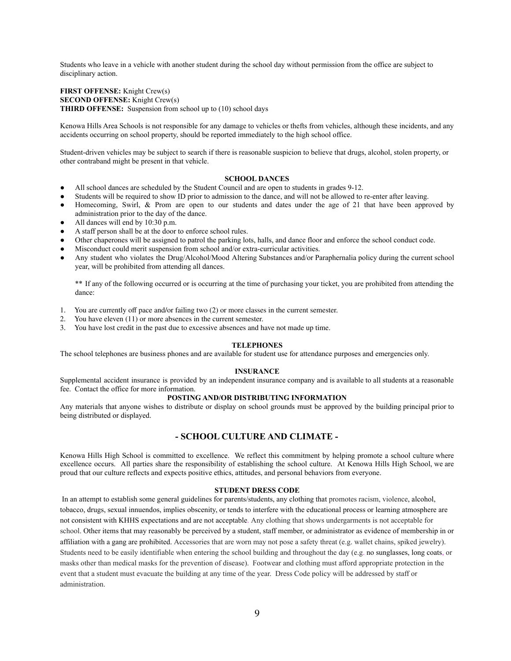Students who leave in a vehicle with another student during the school day without permission from the office are subject to disciplinary action.

**FIRST OFFENSE:** Knight Crew(s) **SECOND OFFENSE:** Knight Crew(s) **THIRD OFFENSE:** Suspension from school up to (10) school days

Kenowa Hills Area Schools is not responsible for any damage to vehicles or thefts from vehicles, although these incidents, and any accidents occurring on school property, should be reported immediately to the high school office.

Student-driven vehicles may be subject to search if there is reasonable suspicion to believe that drugs, alcohol, stolen property, or other contraband might be present in that vehicle.

# **SCHOOL DANCES**

- All school dances are scheduled by the Student Council and are open to students in grades 9-12.
- Students will be required to show ID prior to admission to the dance, and will not be allowed to re-enter after leaving.
- Homecoming, Swirl, & Prom are open to our students and dates under the age of 21 that have been approved by administration prior to the day of the dance.
- All dances will end by 10:30 p.m.
- A staff person shall be at the door to enforce school rules.
- Other chaperones will be assigned to patrol the parking lots, halls, and dance floor and enforce the school conduct code.
- Misconduct could merit suspension from school and/or extra-curricular activities.
- Any student who violates the Drug/Alcohol/Mood Altering Substances and/or Paraphernalia policy during the current school year, will be prohibited from attending all dances.

\*\* If any of the following occurred or is occurring at the time of purchasing your ticket, you are prohibited from attending the dance:

- 1. You are currently off pace and/or failing two (2) or more classes in the current semester.
- 2. You have eleven (11) or more absences in the current semester.
- 3. You have lost credit in the past due to excessive absences and have not made up time.

#### **TELEPHONES**

The school telephones are business phones and are available for student use for attendance purposes and emergencies only.

#### **INSURANCE**

Supplemental accident insurance is provided by an independent insurance company and is available to all students at a reasonable fee. Contact the office for more information.

# **POSTING AND/OR DISTRIBUTING INFORMATION**

Any materials that anyone wishes to distribute or display on school grounds must be approved by the building principal prior to being distributed or displayed.

# **- SCHOOL CULTURE AND CLIMATE -**

Kenowa Hills High School is committed to excellence. We reflect this commitment by helping promote a school culture where excellence occurs. All parties share the responsibility of establishing the school culture. At Kenowa Hills High School, we are proud that our culture reflects and expects positive ethics, attitudes, and personal behaviors from everyone.

## **STUDENT DRESS CODE**

In an attempt to establish some general guidelines for parents/students, any clothing that promotes racism, violence, alcohol, tobacco, drugs, sexual innuendos, implies obscenity, or tends to interfere with the educational process or learning atmosphere are not consistent with KHHS expectations and are not acceptable. Any clothing that shows undergarments is not acceptable for school. Other items that may reasonably be perceived by a student, staff member, or administrator as evidence of membership in or affiliation with a gang are prohibited. Accessories that are worn may not pose a safety threat (e.g. wallet chains, spiked jewelry). Students need to be easily identifiable when entering the school building and throughout the day (e.g. no sunglasses, long coats, or masks other than medical masks for the prevention of disease). Footwear and clothing must afford appropriate protection in the event that a student must evacuate the building at any time of the year. Dress Code policy will be addressed by staff or administration.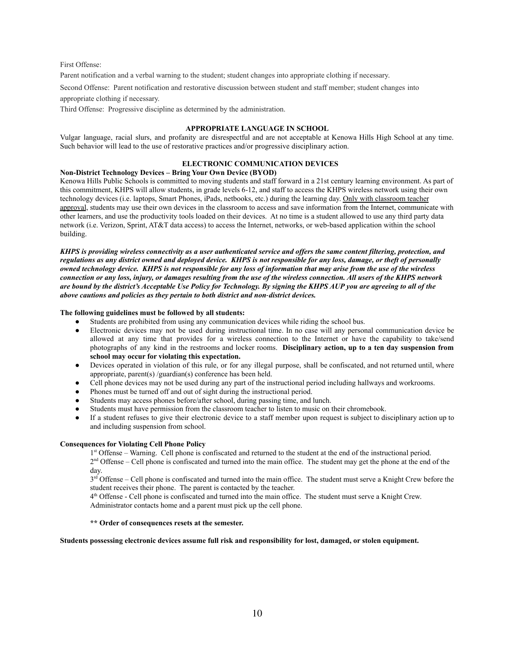# First Offense:

Parent notification and a verbal warning to the student; student changes into appropriate clothing if necessary.

Second Offense: Parent notification and restorative discussion between student and staff member; student changes into

appropriate clothing if necessary.

Third Offense: Progressive discipline as determined by the administration.

# **APPROPRIATE LANGUAGE IN SCHOOL**

Vulgar language, racial slurs, and profanity are disrespectful and are not acceptable at Kenowa Hills High School at any time. Such behavior will lead to the use of restorative practices and/or progressive disciplinary action.

# **ELECTRONIC COMMUNICATION DEVICES**

### **Non-District Technology Devices – Bring Your Own Device (BYOD)**

Kenowa Hills Public Schools is committed to moving students and staff forward in a 21st century learning environment. As part of this commitment, KHPS will allow students, in grade levels 6-12, and staff to access the KHPS wireless network using their own technology devices (i.e. laptops, Smart Phones, iPads, netbooks, etc.) during the learning day. Only with classroom teacher approval, students may use their own devices in the classroom to access and save information from the Internet, communicate with other learners, and use the productivity tools loaded on their devices. At no time is a student allowed to use any third party data network (i.e. Verizon, Sprint, AT&T data access) to access the Internet, networks, or web-based application within the school building.

*KHPS is providing wireless connectivity as a user authenticated service and offers the same content filtering, protection, and regulations as any district owned and deployed device. KHPS is not responsible for any loss, damage, or theft of personally owned technology device. KHPS is not responsible for any loss of information that may arise from the use of the wireless connection or any loss, injury, or damages resulting from the use of the wireless connection. All users of the KHPS network are bound by the district's Acceptable Use Policy for Technology. By signing the KHPS AUP you are agreeing to all of the above cautions and policies as they pertain to both district and non*‐*district devices.*

# **The following guidelines must be followed by all students:**

- Students are prohibited from using any communication devices while riding the school bus.
- Electronic devices may not be used during instructional time. In no case will any personal communication device be allowed at any time that provides for a wireless connection to the Internet or have the capability to take/send photographs of any kind in the restrooms and locker rooms. **Disciplinary action, up to a ten day suspension from school may occur for violating this expectation.**
- Devices operated in violation of this rule, or for any illegal purpose, shall be confiscated, and not returned until, where appropriate, parent(s) /guardian(s) conference has been held.
- Cell phone devices may not be used during any part of the instructional period including hallways and workrooms.
- Phones must be turned off and out of sight during the instructional period.
- Students may access phones before/after school, during passing time, and lunch.
- Students must have permission from the classroom teacher to listen to music on their chromebook.
- If a student refuses to give their electronic device to a staff member upon request is subject to disciplinary action up to and including suspension from school.

### **Consequences for Violating Cell Phone Policy**

1<sup>st</sup> Offense – Warning. Cell phone is confiscated and returned to the student at the end of the instructional period.  $2<sup>nd</sup>$  Offense – Cell phone is confiscated and turned into the main office. The student may get the phone at the end of the day.

 $3<sup>rd</sup>$  Offense – Cell phone is confiscated and turned into the main office. The student must serve a Knight Crew before the student receives their phone. The parent is contacted by the teacher.

4<sup>th</sup> Offense - Cell phone is confiscated and turned into the main office. The student must serve a Knight Crew. Administrator contacts home and a parent must pick up the cell phone.

# **\*\* Order of consequences resets at the semester.**

# **Students possessing electronic devices assume full risk and responsibility for lost, damaged, or stolen equipment.**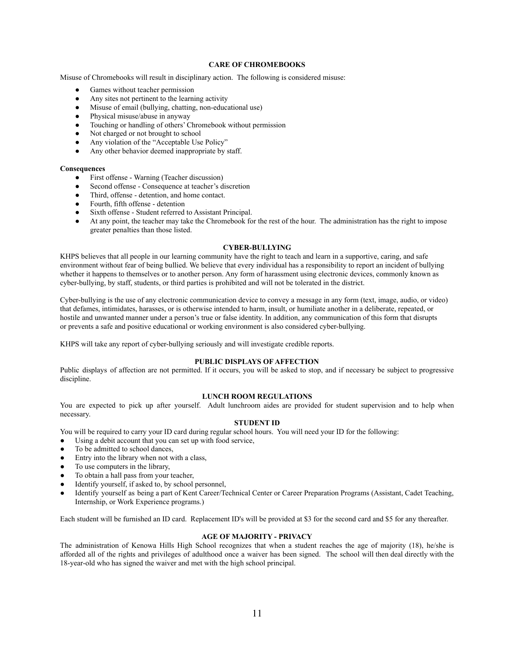# **CARE OF CHROMEBOOKS**

Misuse of Chromebooks will result in disciplinary action. The following is considered misuse:

- Games without teacher permission
- Any sites not pertinent to the learning activity
- Misuse of email (bullying, chatting, non-educational use)
- Physical misuse/abuse in anyway
- Touching or handling of others' Chromebook without permission
- Not charged or not brought to school
- Any violation of the "Acceptable Use Policy"
- Any other behavior deemed inappropriate by staff.

#### **Consequences**

- First offense Warning (Teacher discussion)
- Second offense Consequence at teacher's discretion
- Third, offense detention, and home contact.
- Fourth, fifth offense detention
- Sixth offense Student referred to Assistant Principal.
- At any point, the teacher may take the Chromebook for the rest of the hour. The administration has the right to impose greater penalties than those listed.

# **CYBER-BULLYING**

KHPS believes that all people in our learning community have the right to teach and learn in a supportive, caring, and safe environment without fear of being bullied. We believe that every individual has a responsibility to report an incident of bullying whether it happens to themselves or to another person. Any form of harassment using electronic devices, commonly known as cyber-bullying, by staff, students, or third parties is prohibited and will not be tolerated in the district.

Cyber-bullying is the use of any electronic communication device to convey a message in any form (text, image, audio, or video) that defames, intimidates, harasses, or is otherwise intended to harm, insult, or humiliate another in a deliberate, repeated, or hostile and unwanted manner under a person's true or false identity. In addition, any communication of this form that disrupts or prevents a safe and positive educational or working environment is also considered cyber-bullying.

KHPS will take any report of cyber-bullying seriously and will investigate credible reports.

# **PUBLIC DISPLAYS OF AFFECTION**

Public displays of affection are not permitted. If it occurs, you will be asked to stop, and if necessary be subject to progressive discipline.

# **LUNCH ROOM REGULATIONS**

You are expected to pick up after yourself. Adult lunchroom aides are provided for student supervision and to help when necessary.

# **STUDENT ID**

You will be required to carry your ID card during regular school hours. You will need your ID for the following:

- Using a debit account that you can set up with food service,
- To be admitted to school dances,
- Entry into the library when not with a class,
- To use computers in the library,
- To obtain a hall pass from your teacher,
- Identify yourself, if asked to, by school personnel,
- Identify yourself as being a part of Kent Career/Technical Center or Career Preparation Programs (Assistant, Cadet Teaching, Internship, or Work Experience programs.)

Each student will be furnished an ID card. Replacement ID's will be provided at \$3 for the second card and \$5 for any thereafter.

# **AGE OF MAJORITY - PRIVACY**

The administration of Kenowa Hills High School recognizes that when a student reaches the age of majority (18), he/she is afforded all of the rights and privileges of adulthood once a waiver has been signed. The school will then deal directly with the 18-year-old who has signed the waiver and met with the high school principal.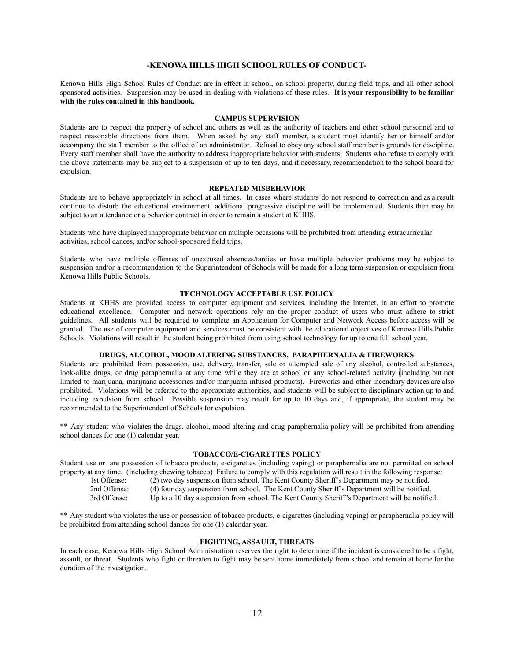# **-KENOWA HILLS HIGH SCHOOL RULES OF CONDUCT-**

Kenowa Hills High School Rules of Conduct are in effect in school, on school property, during field trips, and all other school sponsored activities. Suspension may be used in dealing with violations of these rules. **It is your responsibility to be familiar with the rules contained in this handbook.**

#### **CAMPUS SUPERVISION**

Students are to respect the property of school and others as well as the authority of teachers and other school personnel and to respect reasonable directions from them. When asked by any staff member, a student must identify her or himself and/or accompany the staff member to the office of an administrator. Refusal to obey any school staff member is grounds for discipline. Every staff member shall have the authority to address inappropriate behavior with students. Students who refuse to comply with the above statements may be subject to a suspension of up to ten days, and if necessary, recommendation to the school board for expulsion.

# **REPEATED MISBEHAVIOR**

Students are to behave appropriately in school at all times. In cases where students do not respond to correction and as a result continue to disturb the educational environment, additional progressive discipline will be implemented. Students then may be subject to an attendance or a behavior contract in order to remain a student at KHHS.

Students who have displayed inappropriate behavior on multiple occasions will be prohibited from attending extracurricular activities, school dances, and/or school-sponsored field trips.

Students who have multiple offenses of unexcused absences/tardies or have multiple behavior problems may be subject to suspension and/or a recommendation to the Superintendent of Schools will be made for a long term suspension or expulsion from Kenowa Hills Public Schools.

# **TECHNOLOGY ACCEPTABLE USE POLICY**

Students at KHHS are provided access to computer equipment and services, including the Internet, in an effort to promote educational excellence. Computer and network operations rely on the proper conduct of users who must adhere to strict guidelines. All students will be required to complete an Application for Computer and Network Access before access will be granted. The use of computer equipment and services must be consistent with the educational objectives of Kenowa Hills Public Schools. Violations will result in the student being prohibited from using school technology for up to one full school year.

# **DRUGS, ALCOHOL, MOOD ALTERING SUBSTANCES, PARAPHERNALIA & FIREWORKS**

Students are prohibited from possession, use, delivery, transfer, sale or attempted sale of any alcohol, controlled substances, look-alike drugs, or drug paraphernalia at any time while they are at school or any school-related activity (including but not limited to marijuana, marijuana accessories and/or marijuana-infused products). Fireworks and other incendiary devices are also prohibited. Violations will be referred to the appropriate authorities, and students will be subject to disciplinary action up to and including expulsion from school. Possible suspension may result for up to 10 days and, if appropriate, the student may be recommended to the Superintendent of Schools for expulsion.

\*\* Any student who violates the drugs, alcohol, mood altering and drug paraphernalia policy will be prohibited from attending school dances for one (1) calendar year.

# **TOBACCO/E-CIGARETTES POLICY**

Student use or are possession of tobacco products, e-cigarettes (including vaping) or paraphernalia are not permitted on school property at any time. (Including chewing tobacco) Failure to comply with this regulation will result in the following response:

1st Offense: (2) two day suspension from school. The Kent County Sheriff's Department may be notified.

2nd Offense: (4) four day suspension from school. The Kent County Sheriff's Department will be notified.

3rd Offense: Up to a 10 day suspension from school. The Kent County Sheriff's Department will be notified.

\*\* Any student who violates the use or possession of tobacco products, e-cigarettes (including vaping) or paraphernalia policy will be prohibited from attending school dances for one (1) calendar year.

# **FIGHTING, ASSAULT, THREATS**

In each case, Kenowa Hills High School Administration reserves the right to determine if the incident is considered to be a fight, assault, or threat. Students who fight or threaten to fight may be sent home immediately from school and remain at home for the duration of the investigation.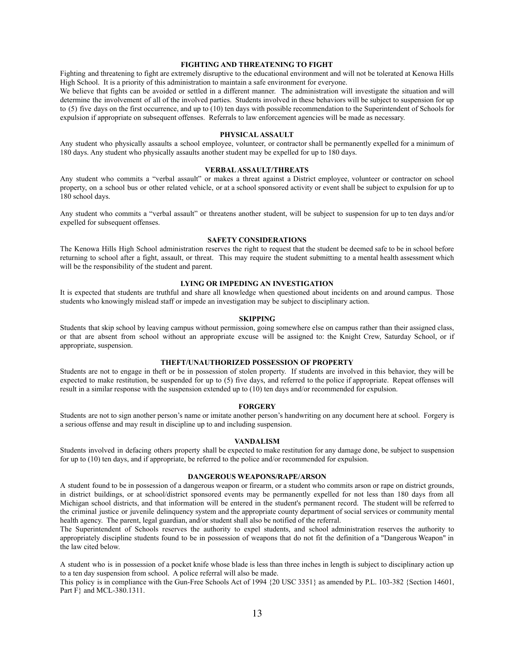# **FIGHTING AND THREATENING TO FIGHT**

Fighting and threatening to fight are extremely disruptive to the educational environment and will not be tolerated at Kenowa Hills High School. It is a priority of this administration to maintain a safe environment for everyone.

We believe that fights can be avoided or settled in a different manner. The administration will investigate the situation and will determine the involvement of all of the involved parties. Students involved in these behaviors will be subject to suspension for up to (5) five days on the first occurrence, and up to (10) ten days with possible recommendation to the Superintendent of Schools for expulsion if appropriate on subsequent offenses. Referrals to law enforcement agencies will be made as necessary.

# **PHYSICALASSAULT**

Any student who physically assaults a school employee, volunteer, or contractor shall be permanently expelled for a minimum of 180 days. Any student who physically assaults another student may be expelled for up to 180 days.

#### **VERBALASSAULT/THREATS**

Any student who commits a "verbal assault" or makes a threat against a District employee, volunteer or contractor on school property, on a school bus or other related vehicle, or at a school sponsored activity or event shall be subject to expulsion for up to 180 school days.

Any student who commits a "verbal assault" or threatens another student, will be subject to suspension for up to ten days and/or expelled for subsequent offenses.

#### **SAFETY CONSIDERATIONS**

The Kenowa Hills High School administration reserves the right to request that the student be deemed safe to be in school before returning to school after a fight, assault, or threat. This may require the student submitting to a mental health assessment which will be the responsibility of the student and parent.

# **LYING OR IMPEDING AN INVESTIGATION**

It is expected that students are truthful and share all knowledge when questioned about incidents on and around campus. Those students who knowingly mislead staff or impede an investigation may be subject to disciplinary action.

#### **SKIPPING**

Students that skip school by leaving campus without permission, going somewhere else on campus rather than their assigned class, or that are absent from school without an appropriate excuse will be assigned to: the Knight Crew, Saturday School, or if appropriate, suspension.

# **THEFT/UNAUTHORIZED POSSESSION OF PROPERTY**

Students are not to engage in theft or be in possession of stolen property. If students are involved in this behavior, they will be expected to make restitution, be suspended for up to (5) five days, and referred to the police if appropriate. Repeat offenses will result in a similar response with the suspension extended up to (10) ten days and/or recommended for expulsion.

#### **FORGERY**

Students are not to sign another person's name or imitate another person's handwriting on any document here at school. Forgery is a serious offense and may result in discipline up to and including suspension.

#### **VANDALISM**

Students involved in defacing others property shall be expected to make restitution for any damage done, be subject to suspension for up to (10) ten days, and if appropriate, be referred to the police and/or recommended for expulsion.

# **DANGEROUS WEAPONS/RAPE/ARSON**

A student found to be in possession of a dangerous weapon or firearm, or a student who commits arson or rape on district grounds, in district buildings, or at school/district sponsored events may be permanently expelled for not less than 180 days from all Michigan school districts, and that information will be entered in the student's permanent record. The student will be referred to the criminal justice or juvenile delinquency system and the appropriate county department of social services or community mental health agency. The parent, legal guardian, and/or student shall also be notified of the referral.

The Superintendent of Schools reserves the authority to expel students, and school administration reserves the authority to appropriately discipline students found to be in possession of weapons that do not fit the definition of a "Dangerous Weapon" in the law cited below.

A student who is in possession of a pocket knife whose blade is less than three inches in length is subject to disciplinary action up to a ten day suspension from school. A police referral will also be made.

This policy is in compliance with the Gun-Free Schools Act of 1994 {20 USC 3351} as amended by P.L. 103-382 {Section 14601, Part F} and MCL-380.1311.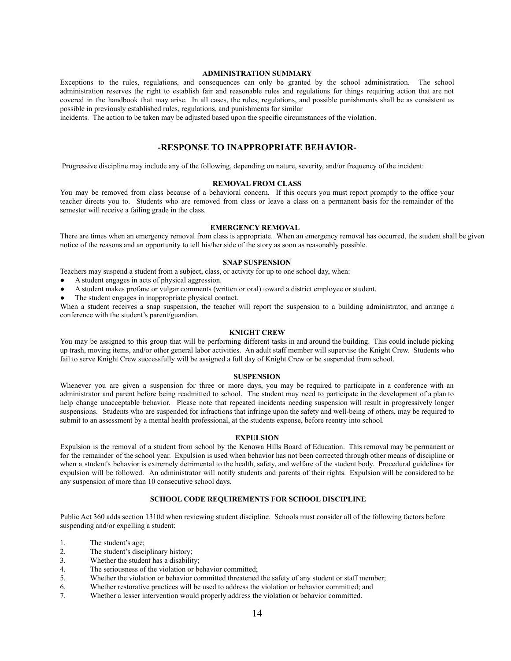#### **ADMINISTRATION SUMMARY**

Exceptions to the rules, regulations, and consequences can only be granted by the school administration. The school administration reserves the right to establish fair and reasonable rules and regulations for things requiring action that are not covered in the handbook that may arise. In all cases, the rules, regulations, and possible punishments shall be as consistent as possible in previously established rules, regulations, and punishments for similar

incidents. The action to be taken may be adjusted based upon the specific circumstances of the violation.

# **-RESPONSE TO INAPPROPRIATE BEHAVIOR-**

Progressive discipline may include any of the following, depending on nature, severity, and/or frequency of the incident:

# **REMOVAL FROM CLASS**

You may be removed from class because of a behavioral concern. If this occurs you must report promptly to the office your teacher directs you to. Students who are removed from class or leave a class on a permanent basis for the remainder of the semester will receive a failing grade in the class.

# **EMERGENCY REMOVAL**

There are times when an emergency removal from class is appropriate. When an emergency removal has occurred, the student shall be given notice of the reasons and an opportunity to tell his/her side of the story as soon as reasonably possible.

### **SNAP SUSPENSION**

Teachers may suspend a student from a subject, class, or activity for up to one school day, when:

- A student engages in acts of physical aggression.
- A student makes profane or vulgar comments (written or oral) toward a district employee or student.
- The student engages in inappropriate physical contact.

When a student receives a snap suspension, the teacher will report the suspension to a building administrator, and arrange a conference with the student's parent/guardian.

#### **KNIGHT CREW**

You may be assigned to this group that will be performing different tasks in and around the building. This could include picking up trash, moving items, and/or other general labor activities. An adult staff member will supervise the Knight Crew. Students who fail to serve Knight Crew successfully will be assigned a full day of Knight Crew or be suspended from school.

### **SUSPENSION**

Whenever you are given a suspension for three or more days, you may be required to participate in a conference with an administrator and parent before being readmitted to school. The student may need to participate in the development of a plan to help change unacceptable behavior. Please note that repeated incidents needing suspension will result in progressively longer suspensions. Students who are suspended for infractions that infringe upon the safety and well-being of others, may be required to submit to an assessment by a mental health professional, at the students expense, before reentry into school.

#### **EXPULSION**

Expulsion is the removal of a student from school by the Kenowa Hills Board of Education. This removal may be permanent or for the remainder of the school year. Expulsion is used when behavior has not been corrected through other means of discipline or when a student's behavior is extremely detrimental to the health, safety, and welfare of the student body. Procedural guidelines for expulsion will be followed. An administrator will notify students and parents of their rights. Expulsion will be considered to be any suspension of more than 10 consecutive school days.

### **SCHOOL CODE REQUIREMENTS FOR SCHOOL DISCIPLINE**

Public Act 360 adds section 1310d when reviewing student discipline. Schools must consider all of the following factors before suspending and/or expelling a student:

- 1. The student's age;
- 2. The student's disciplinary history;
- 3. Whether the student has a disability;
- 4. The seriousness of the violation or behavior committed;
- 5. Whether the violation or behavior committed threatened the safety of any student or staff member;
- 6. Whether restorative practices will be used to address the violation or behavior committed; and
- 7. Whether a lesser intervention would properly address the violation or behavior committed.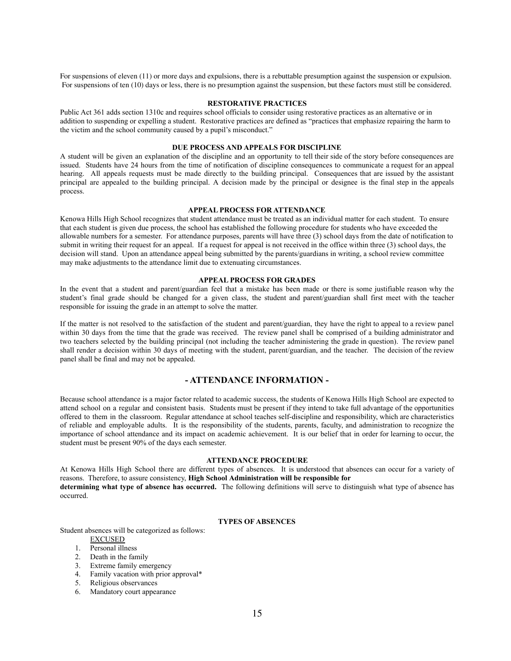For suspensions of eleven (11) or more days and expulsions, there is a rebuttable presumption against the suspension or expulsion. For suspensions of ten (10) days or less, there is no presumption against the suspension, but these factors must still be considered.

# **RESTORATIVE PRACTICES**

Public Act 361 adds section 1310c and requires school officials to consider using restorative practices as an alternative or in addition to suspending or expelling a student. Restorative practices are defined as "practices that emphasize repairing the harm to the victim and the school community caused by a pupil's misconduct."

# **DUE PROCESS AND APPEALS FOR DISCIPLINE**

A student will be given an explanation of the discipline and an opportunity to tell their side of the story before consequences are issued. Students have 24 hours from the time of notification of discipline consequences to communicate a request for an appeal hearing. All appeals requests must be made directly to the building principal. Consequences that are issued by the assistant principal are appealed to the building principal. A decision made by the principal or designee is the final step in the appeals process.

#### **APPEAL PROCESS FOR ATTENDANCE**

Kenowa Hills High School recognizes that student attendance must be treated as an individual matter for each student. To ensure that each student is given due process, the school has established the following procedure for students who have exceeded the allowable numbers for a semester. For attendance purposes, parents will have three (3) school days from the date of notification to submit in writing their request for an appeal. If a request for appeal is not received in the office within three (3) school days, the decision will stand. Upon an attendance appeal being submitted by the parents/guardians in writing, a school review committee may make adjustments to the attendance limit due to extenuating circumstances.

# **APPEAL PROCESS FOR GRADES**

In the event that a student and parent/guardian feel that a mistake has been made or there is some justifiable reason why the student's final grade should be changed for a given class, the student and parent/guardian shall first meet with the teacher responsible for issuing the grade in an attempt to solve the matter.

If the matter is not resolved to the satisfaction of the student and parent/guardian, they have the right to appeal to a review panel within 30 days from the time that the grade was received. The review panel shall be comprised of a building administrator and two teachers selected by the building principal (not including the teacher administering the grade in question). The review panel shall render a decision within 30 days of meeting with the student, parent/guardian, and the teacher. The decision of the review panel shall be final and may not be appealed.

# **- ATTENDANCE INFORMATION -**

Because school attendance is a major factor related to academic success, the students of Kenowa Hills High School are expected to attend school on a regular and consistent basis. Students must be present if they intend to take full advantage of the opportunities offered to them in the classroom. Regular attendance at school teaches self-discipline and responsibility, which are characteristics of reliable and employable adults. It is the responsibility of the students, parents, faculty, and administration to recognize the importance of school attendance and its impact on academic achievement. It is our belief that in order for learning to occur, the student must be present 90% of the days each semester.

# **ATTENDANCE PROCEDURE**

At Kenowa Hills High School there are different types of absences. It is understood that absences can occur for a variety of reasons. Therefore, to assure consistency, **High School Administration will be responsible for determining what type of absence has occurred.** The following definitions will serve to distinguish what type of absence has

# **TYPES OF ABSENCES**

Student absences will be categorized as follows:

# EXCUSED

occurred.

- 1. Personal illness
- 2. Death in the family
- 3. Extreme family emergency
- 4. Family vacation with prior approval\*
- 5. Religious observances
- 6. Mandatory court appearance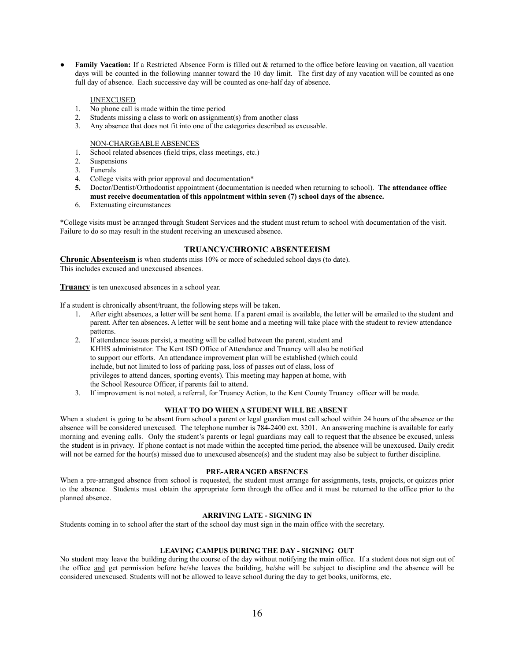**Family Vacation:** If a Restricted Absence Form is filled out & returned to the office before leaving on vacation, all vacation days will be counted in the following manner toward the 10 day limit. The first day of any vacation will be counted as one full day of absence. Each successive day will be counted as one-half day of absence.

# UNEXCUSED

- 1. No phone call is made within the time period
- 2. Students missing a class to work on assignment(s) from another class
- 3. Any absence that does not fit into one of the categories described as excusable.

NON-CHARGEABLE ABSENCES

- 1. School related absences (field trips, class meetings, etc.)
- 2. Suspensions
- 3. Funerals
- 4. College visits with prior approval and documentation\*
- **5.** Doctor/Dentist/Orthodontist appointment (documentation is needed when returning to school). **The attendance office must receive documentation of this appointment within seven (7) school days of the absence.**
- 6. Extenuating circumstances

\*College visits must be arranged through Student Services and the student must return to school with documentation of the visit. Failure to do so may result in the student receiving an unexcused absence.

# **TRUANCY/CHRONIC ABSENTEEISM**

**Chronic Absenteeism** is when students miss 10% or more of scheduled school days (to date). This includes excused and unexcused absences.

**Truancy** is ten unexcused absences in a school year.

If a student is chronically absent/truant, the following steps will be taken.

- 1. After eight absences, a letter will be sent home. If a parent email is available, the letter will be emailed to the student and parent. After ten absences. A letter will be sent home and a meeting will take place with the student to review attendance patterns.
- 2. If attendance issues persist, a meeting will be called between the parent, student and KHHS administrator. The Kent ISD Office of Attendance and Truancy will also be notified to support our efforts. An attendance improvement plan will be established (which could include, but not limited to loss of parking pass, loss of passes out of class, loss of privileges to attend dances, sporting events). This meeting may happen at home, with the School Resource Officer, if parents fail to attend.
- 3. If improvement is not noted, a referral, for Truancy Action, to the Kent County Truancy officer will be made.

# **WHAT TO DO WHEN A STUDENT WILL BE ABSENT**

When a student is going to be absent from school a parent or legal guardian must call school within 24 hours of the absence or the absence will be considered unexcused. The telephone number is 784-2400 ext. 3201. An answering machine is available for early morning and evening calls. Only the student's parents or legal guardians may call to request that the absence be excused, unless the student is in privacy. If phone contact is not made within the accepted time period, the absence will be unexcused. Daily credit will not be earned for the hour(s) missed due to unexcused absence(s) and the student may also be subject to further discipline.

# **PRE-ARRANGED ABSENCES**

When a pre-arranged absence from school is requested, the student must arrange for assignments, tests, projects, or quizzes prior to the absence. Students must obtain the appropriate form through the office and it must be returned to the office prior to the planned absence.

# **ARRIVING LATE - SIGNING IN**

Students coming in to school after the start of the school day must sign in the main office with the secretary.

### **LEAVING CAMPUS DURING THE DAY - SIGNING OUT**

No student may leave the building during the course of the day without notifying the main office. If a student does not sign out of the office and get permission before he/she leaves the building, he/she will be subject to discipline and the absence will be considered unexcused. Students will not be allowed to leave school during the day to get books, uniforms, etc.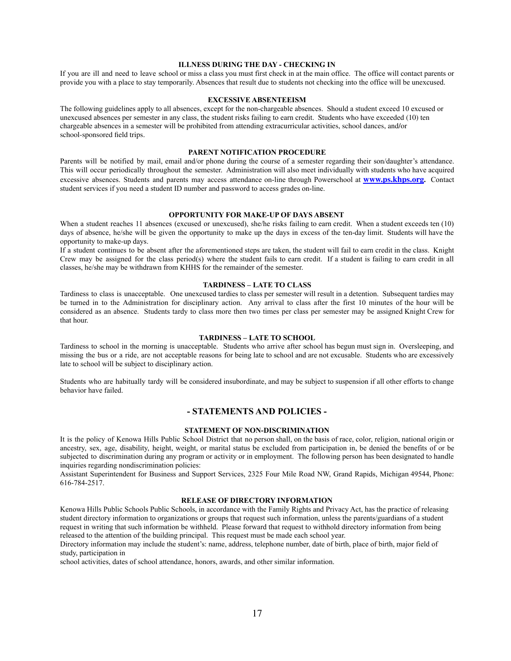# **ILLNESS DURING THE DAY - CHECKING IN**

If you are ill and need to leave school or miss a class you must first check in at the main office. The office will contact parents or provide you with a place to stay temporarily. Absences that result due to students not checking into the office will be unexcused.

# **EXCESSIVE ABSENTEEISM**

The following guidelines apply to all absences, except for the non-chargeable absences. Should a student exceed 10 excused or unexcused absences per semester in any class, the student risks failing to earn credit. Students who have exceeded (10) ten chargeable absences in a semester will be prohibited from attending extracurricular activities, school dances, and/or school-sponsored field trips.

#### **PARENT NOTIFICATION PROCEDURE**

Parents will be notified by mail, email and/or phone during the course of a semester regarding their son/daughter's attendance. This will occur periodically throughout the semester. Administration will also meet individually with students who have acquired excessive absences. Students and parents may access attendance on-line through Powerschool at **[www.ps.khps.org](http://www.ps.khps.org).** Contact student services if you need a student ID number and password to access grades on-line.

# **OPPORTUNITY FOR MAKE-UP OF DAYS ABSENT**

When a student reaches 11 absences (excused or unexcused), she/he risks failing to earn credit. When a student exceeds ten (10) days of absence, he/she will be given the opportunity to make up the days in excess of the ten-day limit. Students will have the opportunity to make-up days.

If a student continues to be absent after the aforementioned steps are taken, the student will fail to earn credit in the class. Knight Crew may be assigned for the class period(s) where the student fails to earn credit. If a student is failing to earn credit in all classes, he/she may be withdrawn from KHHS for the remainder of the semester.

# **TARDINESS – LATE TO CLASS**

Tardiness to class is unacceptable. One unexcused tardies to class per semester will result in a detention. Subsequent tardies may be turned in to the Administration for disciplinary action. Any arrival to class after the first 10 minutes of the hour will be considered as an absence. Students tardy to class more then two times per class per semester may be assigned Knight Crew for that hour.

#### **TARDINESS – LATE TO SCHOOL**

Tardiness to school in the morning is unacceptable. Students who arrive after school has begun must sign in. Oversleeping, and missing the bus or a ride, are not acceptable reasons for being late to school and are not excusable. Students who are excessively late to school will be subject to disciplinary action.

Students who are habitually tardy will be considered insubordinate, and may be subject to suspension if all other efforts to change behavior have failed.

# **- STATEMENTS AND POLICIES -**

# **STATEMENT OF NON-DISCRIMINATION**

It is the policy of Kenowa Hills Public School District that no person shall, on the basis of race, color, religion, national origin or ancestry, sex, age, disability, height, weight, or marital status be excluded from participation in, be denied the benefits of or be subjected to discrimination during any program or activity or in employment. The following person has been designated to handle inquiries regarding nondiscrimination policies:

Assistant Superintendent for Business and Support Services, 2325 Four Mile Road NW, Grand Rapids, Michigan 49544, Phone: 616-784-2517.

# **RELEASE OF DIRECTORY INFORMATION**

Kenowa Hills Public Schools Public Schools, in accordance with the Family Rights and Privacy Act, has the practice of releasing student directory information to organizations or groups that request such information, unless the parents/guardians of a student request in writing that such information be withheld. Please forward that request to withhold directory information from being released to the attention of the building principal. This request must be made each school year.

Directory information may include the student's: name, address, telephone number, date of birth, place of birth, major field of study, participation in

school activities, dates of school attendance, honors, awards, and other similar information.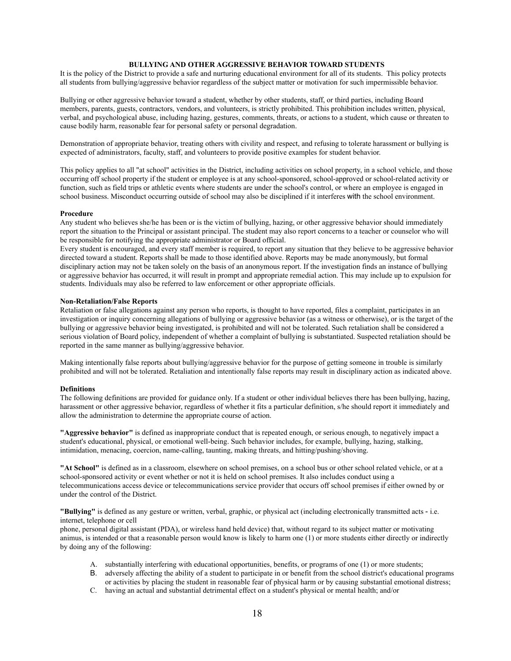# **BULLYING AND OTHER AGGRESSIVE BEHAVIOR TOWARD STUDENTS**

It is the policy of the District to provide a safe and nurturing educational environment for all of its students. This policy protects all students from bullying/aggressive behavior regardless of the subject matter or motivation for such impermissible behavior.

Bullying or other aggressive behavior toward a student, whether by other students, staff, or third parties, including Board members, parents, guests, contractors, vendors, and volunteers, is strictly prohibited. This prohibition includes written, physical, verbal, and psychological abuse, including hazing, gestures, comments, threats, or actions to a student, which cause or threaten to cause bodily harm, reasonable fear for personal safety or personal degradation.

Demonstration of appropriate behavior, treating others with civility and respect, and refusing to tolerate harassment or bullying is expected of administrators, faculty, staff, and volunteers to provide positive examples for student behavior.

This policy applies to all "at school" activities in the District, including activities on school property, in a school vehicle, and those occurring off school property if the student or employee is at any school-sponsored, school-approved or school-related activity or function, such as field trips or athletic events where students are under the school's control, or where an employee is engaged in school business. Misconduct occurring outside of school may also be disciplined if it interferes with the school environment.

#### **Procedure**

Any student who believes she/he has been or is the victim of bullying, hazing, or other aggressive behavior should immediately report the situation to the Principal or assistant principal. The student may also report concerns to a teacher or counselor who will be responsible for notifying the appropriate administrator or Board official.

Every student is encouraged, and every staff member is required, to report any situation that they believe to be aggressive behavior directed toward a student. Reports shall be made to those identified above. Reports may be made anonymously, but formal disciplinary action may not be taken solely on the basis of an anonymous report. If the investigation finds an instance of bullying or aggressive behavior has occurred, it will result in prompt and appropriate remedial action. This may include up to expulsion for students. Individuals may also be referred to law enforcement or other appropriate officials.

# **Non-Retaliation/False Reports**

Retaliation or false allegations against any person who reports, is thought to have reported, files a complaint, participates in an investigation or inquiry concerning allegations of bullying or aggressive behavior (as a witness or otherwise), or is the target of the bullying or aggressive behavior being investigated, is prohibited and will not be tolerated. Such retaliation shall be considered a serious violation of Board policy, independent of whether a complaint of bullying is substantiated. Suspected retaliation should be reported in the same manner as bullying/aggressive behavior.

Making intentionally false reports about bullying/aggressive behavior for the purpose of getting someone in trouble is similarly prohibited and will not be tolerated. Retaliation and intentionally false reports may result in disciplinary action as indicated above.

#### **Definitions**

The following definitions are provided for guidance only. If a student or other individual believes there has been bullying, hazing, harassment or other aggressive behavior, regardless of whether it fits a particular definition, s/he should report it immediately and allow the administration to determine the appropriate course of action.

**"Aggressive behavior"** is defined as inappropriate conduct that is repeated enough, or serious enough, to negatively impact a student's educational, physical, or emotional well-being. Such behavior includes, for example, bullying, hazing, stalking, intimidation, menacing, coercion, name-calling, taunting, making threats, and hitting/pushing/shoving.

**"At School"** is defined as in a classroom, elsewhere on school premises, on a school bus or other school related vehicle, or at a school-sponsored activity or event whether or not it is held on school premises. It also includes conduct using a telecommunications access device or telecommunications service provider that occurs off school premises if either owned by or under the control of the District.

**"Bullying"** is defined as any gesture or written, verbal, graphic, or physical act (including electronically transmitted acts - i.e. internet, telephone or cell

phone, personal digital assistant (PDA), or wireless hand held device) that, without regard to its subject matter or motivating animus, is intended or that a reasonable person would know is likely to harm one (1) or more students either directly or indirectly by doing any of the following:

- A. substantially interfering with educational opportunities, benefits, or programs of one (1) or more students;
- B. adversely affecting the ability of a student to participate in or benefit from the school district's educational programs or activities by placing the student in reasonable fear of physical harm or by causing substantial emotional distress;
- C. having an actual and substantial detrimental effect on a student's physical or mental health; and/or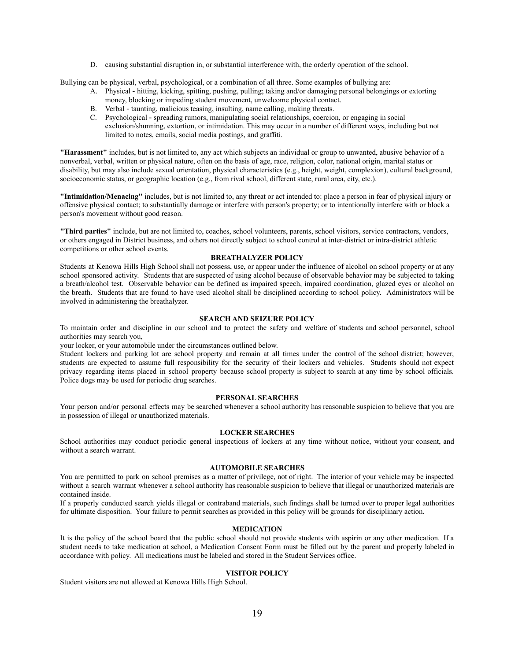D. causing substantial disruption in, or substantial interference with, the orderly operation of the school.

Bullying can be physical, verbal, psychological, or a combination of all three. Some examples of bullying are:

- A. Physical hitting, kicking, spitting, pushing, pulling; taking and/or damaging personal belongings or extorting money, blocking or impeding student movement, unwelcome physical contact.
- B. Verbal taunting, malicious teasing, insulting, name calling, making threats.
- C. Psychological spreading rumors, manipulating social relationships, coercion, or engaging in social exclusion/shunning, extortion, or intimidation. This may occur in a number of different ways, including but not limited to notes, emails, social media postings, and graffiti.

**"Harassment"** includes, but is not limited to, any act which subjects an individual or group to unwanted, abusive behavior of a nonverbal, verbal, written or physical nature, often on the basis of age, race, religion, color, national origin, marital status or disability, but may also include sexual orientation, physical characteristics (e.g., height, weight, complexion), cultural background, socioeconomic status, or geographic location (e.g., from rival school, different state, rural area, city, etc.).

**"Intimidation/Menacing"** includes, but is not limited to, any threat or act intended to: place a person in fear of physical injury or offensive physical contact; to substantially damage or interfere with person's property; or to intentionally interfere with or block a person's movement without good reason.

**"Third parties"** include, but are not limited to, coaches, school volunteers, parents, school visitors, service contractors, vendors, or others engaged in District business, and others not directly subject to school control at inter-district or intra-district athletic competitions or other school events.

# **BREATHALYZER POLICY**

Students at Kenowa Hills High School shall not possess, use, or appear under the influence of alcohol on school property or at any school sponsored activity. Students that are suspected of using alcohol because of observable behavior may be subjected to taking a breath/alcohol test. Observable behavior can be defined as impaired speech, impaired coordination, glazed eyes or alcohol on the breath. Students that are found to have used alcohol shall be disciplined according to school policy. Administrators will be involved in administering the breathalyzer.

# **SEARCH AND SEIZURE POLICY**

To maintain order and discipline in our school and to protect the safety and welfare of students and school personnel, school authorities may search you,

your locker, or your automobile under the circumstances outlined below.

Student lockers and parking lot are school property and remain at all times under the control of the school district; however, students are expected to assume full responsibility for the security of their lockers and vehicles. Students should not expect privacy regarding items placed in school property because school property is subject to search at any time by school officials. Police dogs may be used for periodic drug searches.

# **PERSONAL SEARCHES**

Your person and/or personal effects may be searched whenever a school authority has reasonable suspicion to believe that you are in possession of illegal or unauthorized materials.

# **LOCKER SEARCHES**

School authorities may conduct periodic general inspections of lockers at any time without notice, without your consent, and without a search warrant.

# **AUTOMOBILE SEARCHES**

You are permitted to park on school premises as a matter of privilege, not of right. The interior of your vehicle may be inspected without a search warrant whenever a school authority has reasonable suspicion to believe that illegal or unauthorized materials are contained inside.

If a properly conducted search yields illegal or contraband materials, such findings shall be turned over to proper legal authorities for ultimate disposition. Your failure to permit searches as provided in this policy will be grounds for disciplinary action.

# **MEDICATION**

It is the policy of the school board that the public school should not provide students with aspirin or any other medication. If a student needs to take medication at school, a Medication Consent Form must be filled out by the parent and properly labeled in accordance with policy. All medications must be labeled and stored in the Student Services office.

## **VISITOR POLICY**

Student visitors are not allowed at Kenowa Hills High School.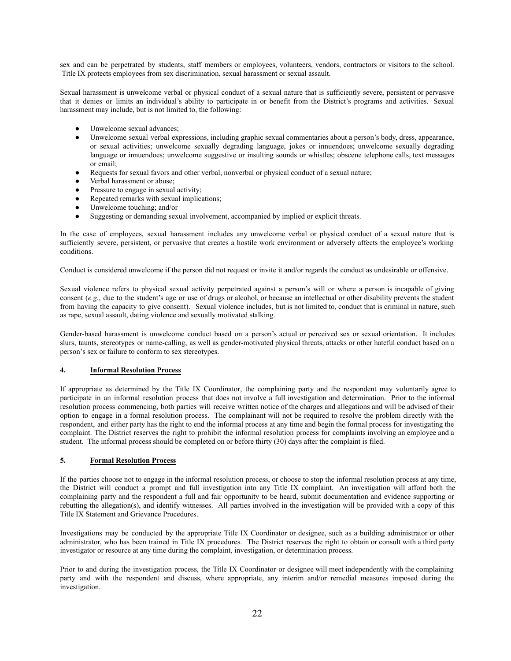sex and can be perpetrated by students, staff members or employees, volunteers, vendors, contractors or visitors to the school. Title IX protects employees from sex discrimination, sexual harassment or sexual assault.

Sexual harassment is unwelcome verbal or physical conduct of a sexual nature that is sufficiently severe, persistent or pervasive that it denies or limits an individual's ability to participate in or benefit from the District's programs and activities. Sexual harassment may include, but is not limited to, the following:

- Unwelcome sexual advances;
- Unwelcome sexual verbal expressions, including graphic sexual commentaries about a person's body, dress, appearance, or sexual activities; unwelcome sexually degrading language, jokes or innuendoes; unwelcome sexually degrading language or innuendoes; unwelcome suggestive or insulting sounds or whistles; obscene telephone calls, text messages or email;
- Requests for sexual favors and other verbal, nonverbal or physical conduct of a sexual nature;
- Verbal harassment or abuse;
- Pressure to engage in sexual activity;
- Repeated remarks with sexual implications;
- Unwelcome touching; and/or
- Suggesting or demanding sexual involvement, accompanied by implied or explicit threats.

In the case of employees, sexual harassment includes any unwelcome verbal or physical conduct of a sexual nature that is sufficiently severe, persistent, or pervasive that creates a hostile work environment or adversely affects the employee's working conditions.

Conduct is considered unwelcome if the person did not request or invite it and/or regards the conduct as undesirable or offensive.

Sexual violence refers to physical sexual activity perpetrated against a person's will or where a person is incapable of giving consent (e.g., due to the student's age or use of drugs or alcohol, or because an intellectual or other disability prevents the student from having the capacity to give consent). Sexual violence includes, but is not limited to, conduct that is criminal in nature, such as rape, sexual assault, dating violence and sexually motivated stalking.

Gender-based harassment is unwelcome conduct based on a person's actual or perceived sex or sexual orientation. It includes slurs, taunts, stereotypes or name-calling, as well as gender-motivated physical threats, attacks or other hateful conduct based on a person's sex or failure to conform to sex stereotypes.

#### $\overline{4}$ . **Informal Resolution Process**

If appropriate as determined by the Title IX Coordinator, the complaining party and the respondent may voluntarily agree to participate in an informal resolution process that does not involve a full investigation and determination. Prior to the informal resolution process commencing, both parties will receive written notice of the charges and allegations and will be advised of their option to engage in a formal resolution process. The complainant will not be required to resolve the problem directly with the respondent, and either party has the right to end the informal process at any time and begin the formal process for investigating the complaint. The District reserves the right to prohibit the informal resolution process for complaints involving an employee and a student. The informal process should be completed on or before thirty (30) days after the complaint is filed.

#### 5. **Formal Resolution Process**

If the parties choose not to engage in the informal resolution process, or choose to stop the informal resolution process at any time, the District will conduct a prompt and full investigation into any Title IX complaint. An investigation will afford both the complaining party and the respondent a full and fair opportunity to be heard, submit documentation and evidence supporting or rebutting the allegation(s), and identify witnesses. All parties involved in the investigation will be provided with a copy of this Title IX Statement and Grievance Procedures.

Investigations may be conducted by the appropriate Title IX Coordinator or designee, such as a building administrator or other administrator, who has been trained in Title IX procedures. The District reserves the right to obtain or consult with a third party investigator or resource at any time during the complaint, investigation, or determination process.

Prior to and during the investigation process, the Title IX Coordinator or designee will meet independently with the complaining party and with the respondent and discuss, where appropriate, any interim and/or remedial measures imposed during the investigation.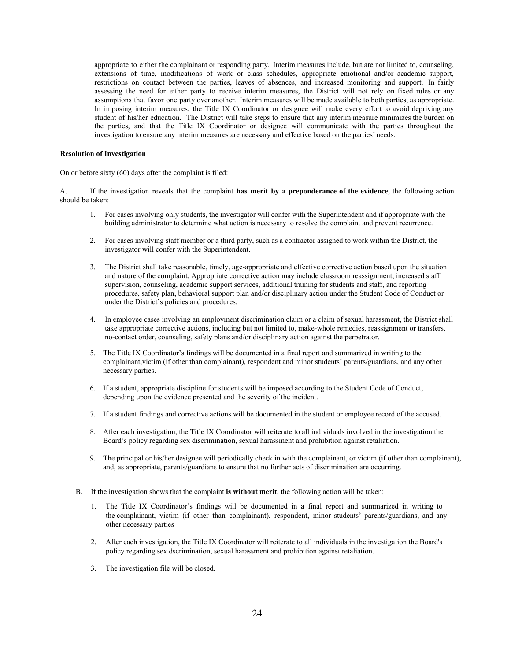appropriate to either the complainant or responding party. Interim measures include, but are not limited to, counseling, extensions of time, modifications of work or class schedules, appropriate emotional and/or academic support, restrictions on contact between the parties, leaves of absences, and increased monitoring and support. In fairly assessing the need for either party to receive interim measures, the District will not rely on fixed rules or any assumptions that favor one party over another. Interim measures will be made available to both parties, as appropriate. In imposing interim measures, the Title IX Coordinator or designee will make every effort to avoid depriving any student of his/her education. The District will take steps to ensure that any interim measure minimizes the burden on the parties, and that the Title IX Coordinator or designee will communicate with the parties throughout the investigation to ensure any interim measures are necessary and effective based on the parties' needs.

#### **Resolution of Investigation**

On or before sixty (60) days after the complaint is filed:

A. If the investigation reveals that the complaint **has merit by a preponderance of the evidence**, the following action should be taken:

- 1. For cases involving only students, the investigator will confer with the Assistant Superintendent and if appropriate with the building administrator to determine what action is necessary to resolve the complaint and prevent recurrence.
- 2. For cases involving staff member or a third party, such as a contractor assigned to work within the District, the investigator will confer with the Assistant Superintendent.
- 3. The District shall take reasonable, timely, age-appropriate and effective corrective action based upon the situation and nature of the complaint. Appropriate corrective action may include classroom reassignment, increased staff supervision, counseling, academic support services, additional training for students and staff, and reporting procedures, safety plan, behavioral support plan and/or disciplinary action under the Student Code of Conduct or under the District's policies and procedures.
- 4. In employee cases involving an employment discrimination claim or a claim of sexual harassment, the District shall take appropriate corrective actions, including but not limited to, make-whole remedies, reassignment or transfers, nocontact order, counseling, safety plans and/or disciplinary action against the perpetrator.
- 5. The Title IX Coordinator's findings will be documented in a final report and summarized in writing to the complainant,victim (if other than complainant), respondent and minor students' parents/guardians, and any other necessary parties.
- 6. If a student, appropriate discipline for students will be imposed according to the Student Code of Conduct, depending upon the evidence presented and the severity of the incident.
- 7. If a student findings and corrective actions will be documented in the student or employee record of the accused.
- 8. After each investigation, the Title IX Coordinator will reiterate to all individuals involved in the investigation the Board's policy regarding sex discrimination, sexual harassment and prohibition against retaliation.
- 9. The principal or his/her designee will periodically check in with the complainant, or victim (if other than complainant), and, as appropriate, parents/guardians to ensure that no further acts of discrimination are occurring.
- B. If the investigation shows that the complaint **is without merit**, the following action will be taken:
	- 1. The Title IX Coordinator's findings will be documented in a final report and summarized in writing to the complainant, victim (if other than complainant), respondent, minor students' parents/guardians, and any other necessary parties
	- 2. After each investigation, the Title IX Coordinator will reiterate to all individuals in the investigation the Board's policy regarding sex dscrimination, sexual harassment and prohibition against retaliation.
	- 3. The investigation file will be closed.